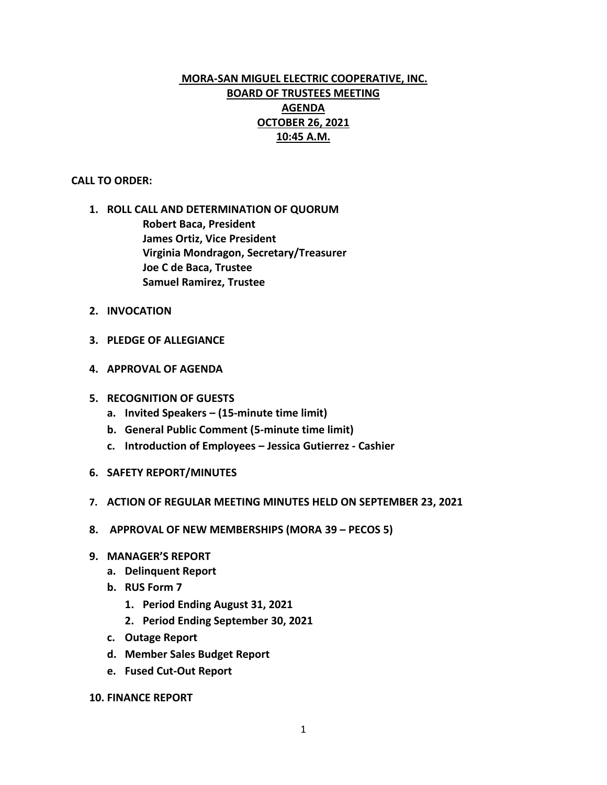# **MORA-SAN MIGUEL ELECTRIC COOPERATIVE, INC. BOARD OF TRUSTEES MEETING AGENDA OCTOBER 26, 2021 10:45 A.M.**

## **CALL TO ORDER:**

- **1. ROLL CALL AND DETERMINATION OF QUORUM Robert Baca, President James Ortiz, Vice President Virginia Mondragon, Secretary/Treasurer Joe C de Baca, Trustee Samuel Ramirez, Trustee**
- **2. INVOCATION**
- **3. PLEDGE OF ALLEGIANCE**
- **4. APPROVAL OF AGENDA**
- **5. RECOGNITION OF GUESTS**
	- **a. Invited Speakers – (15-minute time limit)**
	- **b. General Public Comment (5-minute time limit)**
	- **c. Introduction of Employees – Jessica Gutierrez - Cashier**
- **6. SAFETY REPORT/MINUTES**
- **7. ACTION OF REGULAR MEETING MINUTES HELD ON SEPTEMBER 23, 2021**
- **8. APPROVAL OF NEW MEMBERSHIPS (MORA 39 – PECOS 5)**
- **9. MANAGER'S REPORT**
	- **a. Delinquent Report**
	- **b. RUS Form 7**
		- **1. Period Ending August 31, 2021**
		- **2. Period Ending September 30, 2021**
	- **c. Outage Report**
	- **d. Member Sales Budget Report**
	- **e. Fused Cut-Out Report**
- **10. FINANCE REPORT**